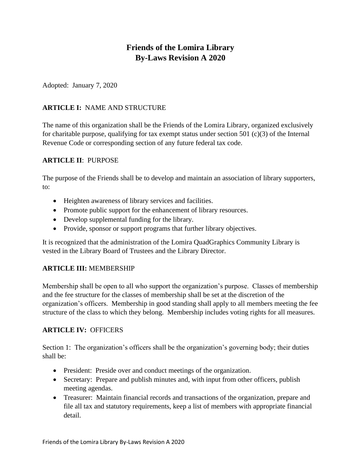# **Friends of the Lomira Library By-Laws Revision A 2020**

Adopted: January 7, 2020

# **ARTICLE I:** NAME AND STRUCTURE

The name of this organization shall be the Friends of the Lomira Library, organized exclusively for charitable purpose, qualifying for tax exempt status under section 501  $(c)(3)$  of the Internal Revenue Code or corresponding section of any future federal tax code.

### **ARTICLE II**: PURPOSE

The purpose of the Friends shall be to develop and maintain an association of library supporters, to:

- Heighten awareness of library services and facilities.
- Promote public support for the enhancement of library resources.
- Develop supplemental funding for the library.
- Provide, sponsor or support programs that further library objectives.

It is recognized that the administration of the Lomira QuadGraphics Community Library is vested in the Library Board of Trustees and the Library Director.

# **ARTICLE III:** MEMBERSHIP

Membership shall be open to all who support the organization's purpose. Classes of membership and the fee structure for the classes of membership shall be set at the discretion of the organization's officers. Membership in good standing shall apply to all members meeting the fee structure of the class to which they belong. Membership includes voting rights for all measures.

### **ARTICLE IV:** OFFICERS

Section 1: The organization's officers shall be the organization's governing body; their duties shall be:

- President: Preside over and conduct meetings of the organization.
- Secretary: Prepare and publish minutes and, with input from other officers, publish meeting agendas.
- Treasurer: Maintain financial records and transactions of the organization, prepare and file all tax and statutory requirements, keep a list of members with appropriate financial detail.